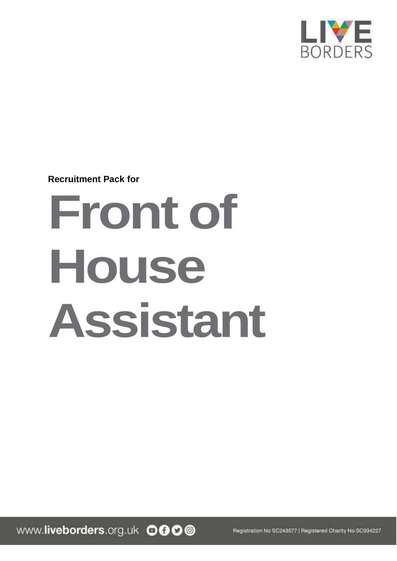

**Recruitment Pack for**

# **Front of House Assistant**

www.liveborders.org.uk OOOO

Registration No SC243577 | Registered Charity No SC034227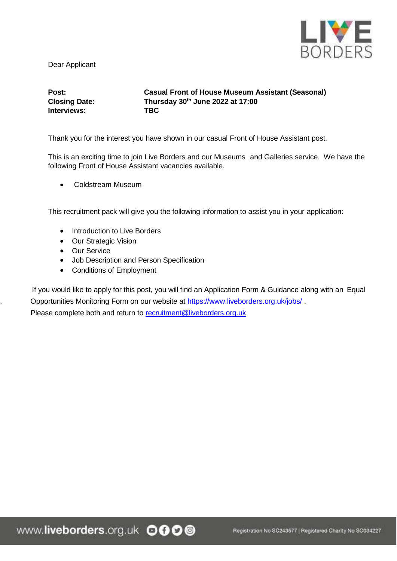

Dear Applicant

**Interviews: TBC**

**Post: Casual Front of House Museum Assistant (Seasonal) Closing Date: Thursday 30th June 2022 at 17:00**

Thank you for the interest you have shown in our casual Front of House Assistant post.

This is an exciting time to join Live Borders and our Museums and Galleries service. We have the following Front of House Assistant vacancies available.

Coldstream Museum

This recruitment pack will give you the following information to assist you in your application:

- Introduction to Live Borders
- Our Strategic Vision
- Our Service
- Job Description and Person Specification
- Conditions of Employment

 If you would like to apply for this post, you will find an Application Form & Guidance along with an Equal Opportunities Monitoring Form on our website at https:/[/www.liveborders.org.uk/jobs/](http://www.liveborders.org.uk/jobs/) Please complete both and return to recruitment@liveborders.org.uk

www.liveborders.org.uk OOOO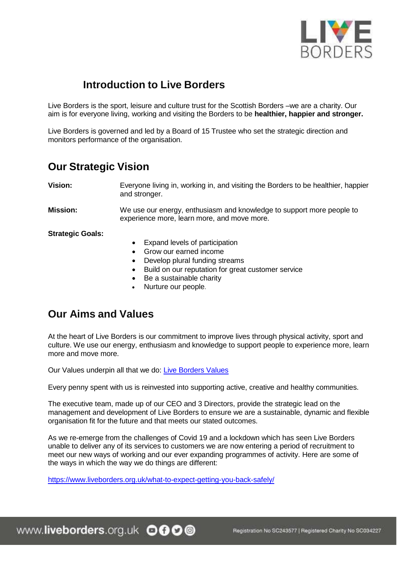

# **Introduction to Live Borders**

Live Borders is the sport, leisure and culture trust for the Scottish Borders –we are a charity. Our aim is for everyone living, working and visiting the Borders to be **healthier, happier and stronger.**

Live Borders is governed and led by a Board of 15 Trustee who set the strategic direction and monitors performance of the organisation.

## **Our Strategic Vision**

**Vision:** Everyone living in, working in, and visiting the Borders to be healthier, happier and stronger.

**Mission:** We use our energy, enthusiasm and knowledge to support more people to experience more, learn more, and move more.

**Strategic Goals:**

- Expand levels of participation
- Grow our earned income
- Develop plural funding streams
- Build on our reputation for great customer service
- Be a sustainable charity
- Nurture our people.

# **Our Aims and Values**

At the heart of Live Borders is our commitment to improve lives through physical activity, sport and culture. We use our energy, enthusiasm and knowledge to support people to experience more, learn more and move more.

Our Values underpin all that we do: Live Borders Values

Every penny spent with us is reinvested into supporting active, creative and healthy communities.

The executive team, made up of our CEO and 3 Directors, provide the strategic lead on the management and development of Live Borders to ensure we are a sustainable, dynamic and flexible organisation fit for the future and that meets our stated outcomes.

As we re-emerge from the challenges of Covid 19 and a lockdown which has seen Live Borders unable to deliver any of its services to customers we are now entering a period of recruitment to meet our new ways of working and our ever expanding programmes of activity. Here are some of the ways in which the way we do things are different:

https:/[/www.liveborders.org.uk/what-to-expect-getting-you-back-safely/](http://www.liveborders.org.uk/what-to-expect-getting-you-back-safely/)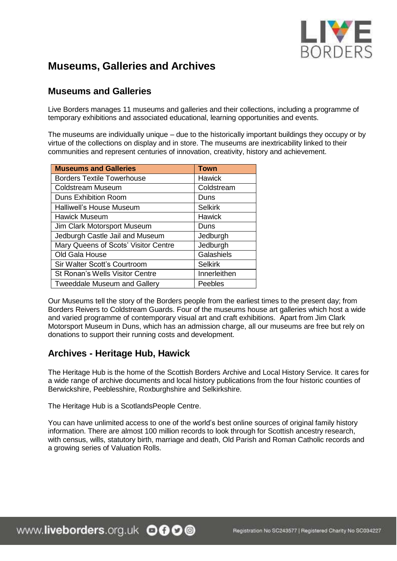

# **Museums, Galleries and Archives**

## **Museums and Galleries**

Live Borders manages 11 museums and galleries and their collections, including a programme of temporary exhibitions and associated educational, learning opportunities and events.

The museums are individually unique – due to the historically important buildings they occupy or by virtue of the collections on display and in store. The museums are inextricability linked to their communities and represent centuries of innovation, creativity, history and achievement.

| <b>Museums and Galleries</b>           | <b>Town</b>    |
|----------------------------------------|----------------|
| <b>Borders Textile Towerhouse</b>      | <b>Hawick</b>  |
| <b>Coldstream Museum</b>               | Coldstream     |
| <b>Duns Exhibition Room</b>            | Duns           |
| Halliwell's House Museum               | <b>Selkirk</b> |
| <b>Hawick Museum</b>                   | <b>Hawick</b>  |
| Jim Clark Motorsport Museum            | Duns           |
| Jedburgh Castle Jail and Museum        | Jedburgh       |
| Mary Queens of Scots' Visitor Centre   | Jedburgh       |
| Old Gala House                         | Galashiels     |
| Sir Walter Scott's Courtroom           | <b>Selkirk</b> |
| <b>St Ronan's Wells Visitor Centre</b> | Innerleithen   |
| <b>Tweeddale Museum and Gallery</b>    | Peebles        |

Our Museums tell the story of the Borders people from the earliest times to the present day; from Borders Reivers to Coldstream Guards. Four of the museums house art galleries which host a wide and varied programme of contemporary visual art and craft exhibitions. Apart from Jim Clark Motorsport Museum in Duns, which has an admission charge, all our museums are free but rely on donations to support their running costs and development.

## **Archives - Heritage Hub, Hawick**

The Heritage Hub is the home of the Scottish Borders Archive and Local History Service. It cares for a wide range of archive documents and local history publications from the four historic counties of Berwickshire, Peeblesshire, Roxburghshire and Selkirkshire.

The Heritage Hub is a ScotlandsPeople Centre.

You can have unlimited access to one of the world's best online sources of original family history information. There are almost 100 million records to look through for Scottish ancestry research, with census, wills, statutory birth, marriage and death, Old Parish and Roman Catholic records and a growing series of Valuation Rolls.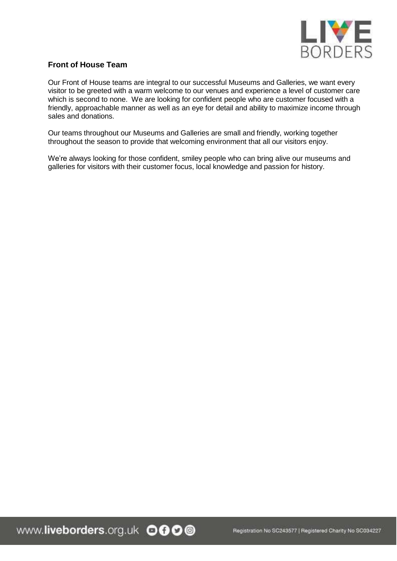

### **Front of House Team**

Our Front of House teams are integral to our successful Museums and Galleries, we want every visitor to be greeted with a warm welcome to our venues and experience a level of customer care which is second to none. We are looking for confident people who are customer focused with a friendly, approachable manner as well as an eye for detail and ability to maximize income through sales and donations.

Our teams throughout our Museums and Galleries are small and friendly, working together throughout the season to provide that welcoming environment that all our visitors enjoy.

We're always looking for those confident, smiley people who can bring alive our museums and galleries for visitors with their customer focus, local knowledge and passion for history.

www.liveborders.org.uk OOOO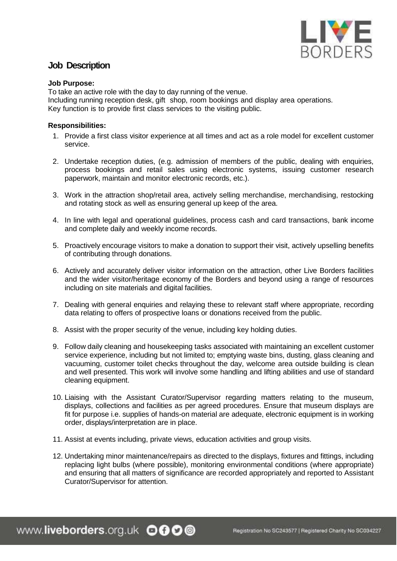

## **Job Description**

#### **Job Purpose:**

To take an active role with the day to day running of the venue. Including running reception desk, gift shop, room bookings and display area operations. Key function is to provide first class services to the visiting public.

#### **Responsibilities:**

- 1. Provide a first class visitor experience at all times and act as a role model for excellent customer service.
- 2. Undertake reception duties, (e.g. admission of members of the public, dealing with enquiries, process bookings and retail sales using electronic systems, issuing customer research paperwork, maintain and monitor electronic records, etc.).
- 3. Work in the attraction shop/retail area, actively selling merchandise, merchandising, restocking and rotating stock as well as ensuring general up keep of the area.
- 4. In line with legal and operational guidelines, process cash and card transactions, bank income and complete daily and weekly income records.
- 5. Proactively encourage visitors to make a donation to support their visit, actively upselling benefits of contributing through donations.
- 6. Actively and accurately deliver visitor information on the attraction, other Live Borders facilities and the wider visitor/heritage economy of the Borders and beyond using a range of resources including on site materials and digital facilities.
- 7. Dealing with general enquiries and relaying these to relevant staff where appropriate, recording data relating to offers of prospective loans or donations received from the public.
- 8. Assist with the proper security of the venue, including key holding duties.
- 9. Follow daily cleaning and housekeeping tasks associated with maintaining an excellent customer service experience, including but not limited to; emptying waste bins, dusting, glass cleaning and vacuuming, customer toilet checks throughout the day, welcome area outside building is clean and well presented. This work will involve some handling and lifting abilities and use of standard cleaning equipment.
- 10. Liaising with the Assistant Curator/Supervisor regarding matters relating to the museum, displays, collections and facilities as per agreed procedures. Ensure that museum displays are fit for purpose i.e. supplies of hands-on material are adequate, electronic equipment is in working order, displays/interpretation are in place.
- 11. Assist at events including, private views, education activities and group visits.
- 12. Undertaking minor maintenance/repairs as directed to the displays, fixtures and fittings, including replacing light bulbs (where possible), monitoring environmental conditions (where appropriate) and ensuring that all matters of significance are recorded appropriately and reported to Assistant Curator/Supervisor for attention.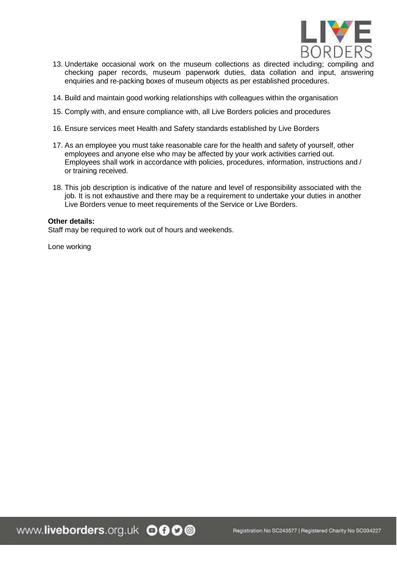

- 13. Undertake occasional work on the museum collections as directed including; compiling and checking paper records, museum paperwork duties, data collation and input, answering enquiries and re-packing boxes of museum objects as per established procedures.
- 14. Build and maintain good working relationships with colleagues within the organisation
- 15. Comply with, and ensure compliance with, all Live Borders policies and procedures
- 16. Ensure services meet Health and Safety standards established by Live Borders
- 17. As an employee you must take reasonable care for the health and safety of yourself, other employees and anyone else who may be affected by your work activities carried out. Employees shall work in accordance with policies, procedures, information, instructions and / or training received.
- 18. This job description is indicative of the nature and level of responsibility associated with the job. It is not exhaustive and there may be a requirement to undertake your duties in another Live Borders venue to meet requirements of the Service or Live Borders.

#### **Other details:**

Staff may be required to work out of hours and weekends.

Lone working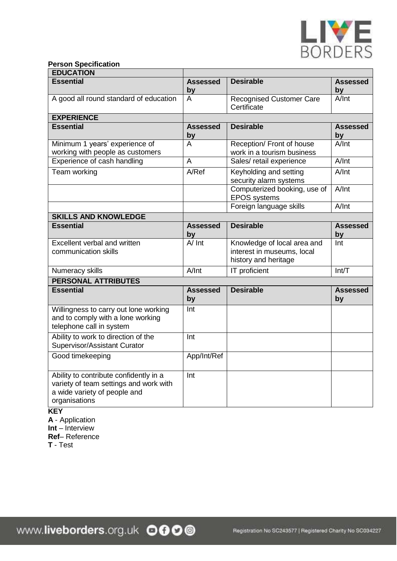

#### **Person Specification**

| <b>EDUCATION</b>                                                                                                                  |                       |                                                                                   |                       |
|-----------------------------------------------------------------------------------------------------------------------------------|-----------------------|-----------------------------------------------------------------------------------|-----------------------|
| <b>Essential</b>                                                                                                                  | <b>Assessed</b>       | <b>Desirable</b>                                                                  | <b>Assessed</b>       |
|                                                                                                                                   | <u>by</u>             |                                                                                   | by                    |
| A good all round standard of education                                                                                            | A                     | <b>Recognised Customer Care</b><br>Certificate                                    | A/Int                 |
| <b>EXPERIENCE</b>                                                                                                                 |                       |                                                                                   |                       |
| <b>Essential</b>                                                                                                                  | <b>Assessed</b><br>by | <b>Desirable</b>                                                                  | <b>Assessed</b><br>by |
| Minimum 1 years' experience of<br>working with people as customers                                                                | A                     | Reception/ Front of house<br>work in a tourism business                           | A/Int                 |
| Experience of cash handling                                                                                                       | A                     | Sales/ retail experience                                                          | A/Int                 |
| Team working                                                                                                                      | A/Ref                 | Keyholding and setting<br>security alarm systems                                  | A/Int                 |
|                                                                                                                                   |                       | Computerized booking, use of<br><b>EPOS</b> systems                               | A/Int                 |
|                                                                                                                                   |                       | Foreign language skills                                                           | A/Int                 |
| <b>SKILLS AND KNOWLEDGE</b>                                                                                                       |                       |                                                                                   |                       |
| <b>Essential</b>                                                                                                                  | <b>Assessed</b><br>by | <b>Desirable</b>                                                                  | <b>Assessed</b><br>by |
| Excellent verbal and written<br>communication skills                                                                              | A/Int                 | Knowledge of local area and<br>interest in museums, local<br>history and heritage | Int                   |
| Numeracy skills                                                                                                                   | A/Int                 | IT proficient                                                                     | Int/T                 |
| <b>PERSONAL ATTRIBUTES</b>                                                                                                        |                       |                                                                                   |                       |
| <b>Essential</b>                                                                                                                  | <b>Assessed</b><br>by | <b>Desirable</b>                                                                  | <b>Assessed</b><br>by |
| Willingness to carry out lone working<br>and to comply with a lone working<br>telephone call in system                            | Int                   |                                                                                   |                       |
| Ability to work to direction of the<br>Supervisor/Assistant Curator                                                               | Int                   |                                                                                   |                       |
| Good timekeeping                                                                                                                  | App/Int/Ref           |                                                                                   |                       |
| Ability to contribute confidently in a<br>variety of team settings and work with<br>a wide variety of people and<br>organisations | Int                   |                                                                                   |                       |
| <b>KEY</b><br>A - Application                                                                                                     |                       |                                                                                   |                       |

**Int** – Interview

**Ref**– Reference

**T** - Test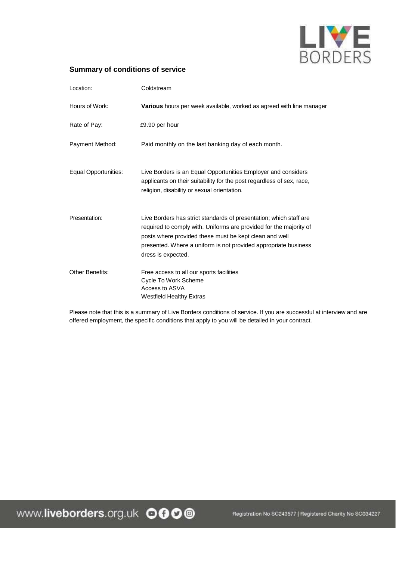

#### **Summary of conditions of service**

| Location:              | Coldstream                                                                                                                                                                                                                                                                                  |
|------------------------|---------------------------------------------------------------------------------------------------------------------------------------------------------------------------------------------------------------------------------------------------------------------------------------------|
| Hours of Work:         | Various hours per week available, worked as agreed with line manager                                                                                                                                                                                                                        |
| Rate of Pay:           | £9.90 per hour                                                                                                                                                                                                                                                                              |
| Payment Method:        | Paid monthly on the last banking day of each month.                                                                                                                                                                                                                                         |
| Equal Opportunities:   | Live Borders is an Equal Opportunities Employer and considers<br>applicants on their suitability for the post regardless of sex, race,<br>religion, disability or sexual orientation.                                                                                                       |
| Presentation:          | Live Borders has strict standards of presentation; which staff are<br>required to comply with. Uniforms are provided for the majority of<br>posts where provided these must be kept clean and well<br>presented. Where a uniform is not provided appropriate business<br>dress is expected. |
| <b>Other Benefits:</b> | Free access to all our sports facilities<br>Cycle To Work Scheme<br>Access to ASVA<br><b>Westfield Healthy Extras</b>                                                                                                                                                                       |

Please note that this is a summary of Live Borders conditions of service. If you are successful at interview and are offered employment, the specific conditions that apply to you will be detailed in your contract.

Registration No SC243577 | Registered Charity No SC034227